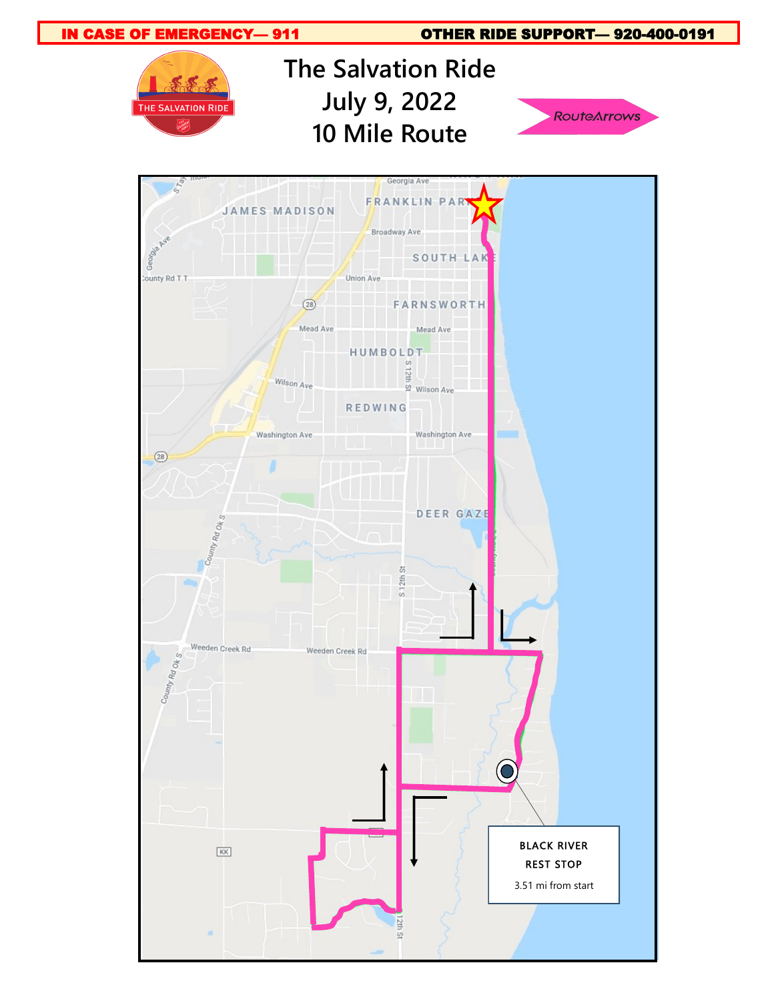